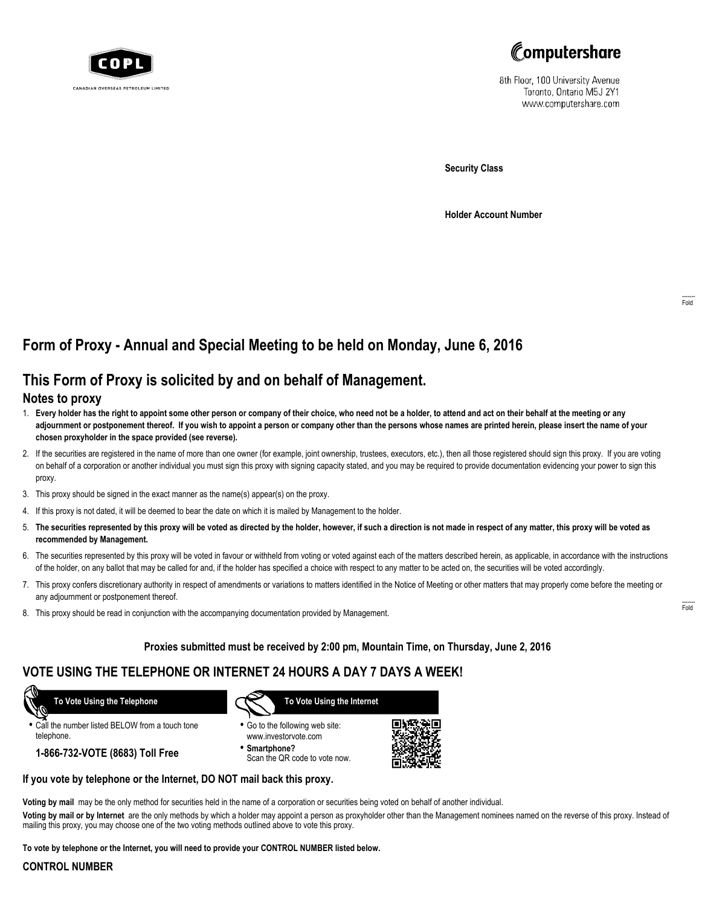



8th Floor, 100 University Avenue Toronto, Ontario M5J 2Y1 www.computershare.com

**Security Class**

**Holder Account Number**

# **Form of Proxy - Annual and Special Meeting to be held on Monday, June 6, 2016**

## **This Form of Proxy is solicited by and on behalf of Management.**

### **Notes to proxy**

- 1. **Every holder has the right to appoint some other person or company of their choice, who need not be a holder, to attend and act on their behalf at the meeting or any adjournment or postponement thereof. If you wish to appoint a person or company other than the persons whose names are printed herein, please insert the name of your chosen proxyholder in the space provided (see reverse).**
- 2. If the securities are registered in the name of more than one owner (for example, joint ownership, trustees, executors, etc.), then all those registered should sign this proxy. If you are voting on behalf of a corporation or another individual you must sign this proxy with signing capacity stated, and you may be required to provide documentation evidencing your power to sign this proxy.
- 3. This proxy should be signed in the exact manner as the name(s) appear(s) on the proxy.
- 4. If this proxy is not dated, it will be deemed to bear the date on which it is mailed by Management to the holder.
- 5. **The securities represented by this proxy will be voted as directed by the holder, however, if such a direction is not made in respect of any matter, this proxy will be voted as recommended by Management.**
- 6. The securities represented by this proxy will be voted in favour or withheld from voting or voted against each of the matters described herein, as applicable, in accordance with the instructions of the holder, on any ballot that may be called for and, if the holder has specified a choice with respect to any matter to be acted on, the securities will be voted accordingly.
- 7. This proxy confers discretionary authority in respect of amendments or variations to matters identified in the Notice of Meeting or other matters that may properly come before the meeting or any adjournment or postponement thereof.
- 8. This proxy should be read in conjunction with the accompanying documentation provided by Management.

### **Proxies submitted must be received by 2:00 pm, Mountain Time, on Thursday, June 2, 2016**

### **VOTE USING THE TELEPHONE OR INTERNET 24 HOURS A DAY 7 DAYS A WEEK!**

 **To Vote Using the Telephone**

**•** Call the number listed BELOW from a touch tone telephone.

**1-866-732-VOTE (8683) Toll Free**



- **•** Go to the following web site: www.investorvote.com
- **• Smartphone?** Scan the QR code to vote now.



### **If you vote by telephone or the Internet, DO NOT mail back this proxy.**

**Voting by mail** may be the only method for securities held in the name of a corporation or securities being voted on behalf of another individual.

**Voting by mail or by Internet** are the only methods by which a holder may appoint a person as proxyholder other than the Management nominees named on the reverse of this proxy. Instead of mailing this proxy, you may choose one of the two voting methods outlined above to vote this proxy.

**To vote by telephone or the Internet, you will need to provide your CONTROL NUMBER listed below.**

#### **CONTROL NUMBER**